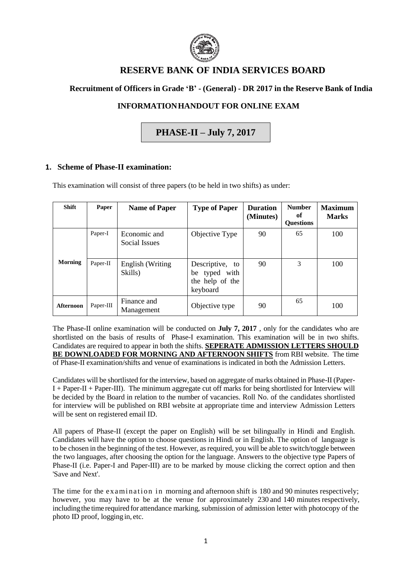

# **RESERVE BANK OF INDIA SERVICES BOARD**

## **Recruitment of Officers in Grade 'B' - (General) - DR 2017 in the Reserve Bank of India**

## **INFORMATIONHANDOUT FOR ONLINE EXAM**

**PHASE-II – July 7, 2017**

### **1. Scheme of Phase-II examination:**

This examination will consist of three papers (to be held in two shifts) as under:

| <b>Shift</b>     | Paper     | <b>Name of Paper</b>          | <b>Type of Paper</b>                                                  | <b>Duration</b><br>(Minutes) | <b>Number</b><br>of<br><b>Ouestions</b> | <b>Maximum</b><br><b>Marks</b> |
|------------------|-----------|-------------------------------|-----------------------------------------------------------------------|------------------------------|-----------------------------------------|--------------------------------|
| Morning          | Paper-I   | Economic and<br>Social Issues | Objective Type                                                        | 90                           | 65                                      | 100                            |
|                  | Paper-II  | English (Writing<br>Skills)   | Descriptive,<br>to<br>be typed<br>with<br>the help of the<br>keyboard | 90                           | 3                                       | 100                            |
| <b>Afternoon</b> | Paper-III | Finance and<br>Management     | Objective type                                                        | 90                           | 65                                      | 100                            |

The Phase-II online examination will be conducted on **July 7, 2017** , only for the candidates who are shortlisted on the basis of results of Phase-I examination. This examination will be in two shifts. Candidates are required to appear in both the shifts. **SEPERATE ADMISSION LETTERS SHOULD BE DOWNLOADED FOR MORNING AND AFTERNOON SHIFTS** from RBI website. The time of Phase-II examination/shifts and venue of examinations is indicated in both the Admission Letters.

Candidates will be shortlisted for the interview, based on aggregate of marks obtained in Phase-II (Paper-I + Paper-II + Paper-III). The minimum aggregate cut off marks for being shortlisted for Interview will be decided by the Board in relation to the number of vacancies. Roll No. of the candidates shortlisted for interview will be published on RBI website at appropriate time and interview Admission Letters will be sent on registered email ID.

All papers of Phase-II (except the paper on English) will be set bilingually in Hindi and English. Candidates will have the option to choose questions in Hindi or in English. The option of language is to be chosen in the beginning of the test. However, as required, you will be able to switch/toggle between the two languages, after choosing the option for the language. Answers to the objective type Papers of Phase-II (i.e. Paper-I and Paper-III) are to be marked by mouse clicking the correct option and then 'Save and Next'.

The time for the examination in morning and afternoon shift is 180 and 90 minutes respectively; however, you may have to be at the venue for approximately 230 and 140 minutes respectively, includingthe time required for attendance marking, submission of admission letter with photocopy of the photo ID proof, logging in, etc.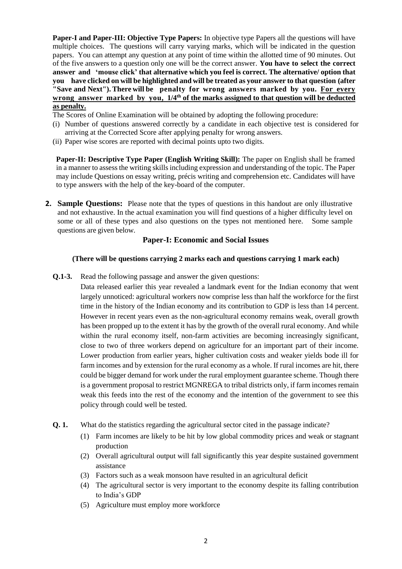**Paper-I and Paper-III: Objective Type Papers:** In objective type Papers all the questions will have multiple choices. The questions will carry varying marks, which will be indicated in the question papers. You can attempt any question at any point of time within the allotted time of 90 minutes. Out of the five answers to a question only one will be the correct answer. **You have to select the correct answer and 'mouse click' that alternative which you feel is correct. The alternative/ option that** you have clicked on will be highlighted and will be treated as your answer to that question (after **"Save and Next"). There will be penalty for wrong answers marked by you. For every wrong answer marked by you, 1/4th of the marks assigned to that question will be deducted**

## **as penalty.**

The Scores of Online Examination will be obtained by adopting the following procedure:

- (i) Number of questions answered correctly by a candidate in each objective test is considered for arriving at the Corrected Score after applying penalty for wrong answers.
- (ii) Paper wise scores are reported with decimal points upto two digits.

**Paper-II: Descriptive Type Paper (English Writing Skill):** The paper on English shall be framed in a manner to assess the writing skills including expression and understanding of the topic. The Paper may include Questions on essay writing, précis writing and comprehension etc. Candidates will have to type answers with the help of the key-board of the computer.

**2. Sample Questions:** Please note that the types of questions in this handout are only illustrative and not exhaustive. In the actual examination you will find questions of a higher difficulty level on some or all of these types and also questions on the types not mentioned here. Some sample questions are given below.

## **Paper-I: Economic and Social Issues**

#### **(There will be questions carrying 2 marks each and questions carrying 1 mark each)**

**Q.1-3.** Read the following passage and answer the given questions:

Data released earlier this year revealed a landmark event for the Indian economy that went largely unnoticed: agricultural workers now comprise less than half the workforce for the first time in the history of the Indian economy and its contribution to GDP is less than 14 percent. However in recent years even as the non-agricultural economy remains weak, overall growth has been propped up to the extent it has by the growth of the overall rural economy. And while within the rural economy itself, non-farm activities are becoming increasingly significant, close to two of three workers depend on agriculture for an important part of their income. Lower production from earlier years, higher cultivation costs and weaker yields bode ill for farm incomes and by extension for the rural economy as a whole. If rural incomes are hit, there could be bigger demand for work under the rural employment guarantee scheme. Though there is a government proposal to restrict MGNREGA to tribal districts only, if farm incomes remain weak this feeds into the rest of the economy and the intention of the government to see this policy through could well be tested.

- **Q. 1.** What do the statistics regarding the agricultural sector cited in the passage indicate?
	- (1) Farm incomes are likely to be hit by low global commodity prices and weak or stagnant production
	- (2) Overall agricultural output will fall significantly this year despite sustained government assistance
	- (3) Factors such as a weak monsoon have resulted in an agricultural deficit
	- (4) The agricultural sector is very important to the economy despite its falling contribution to India's GDP
	- (5) Agriculture must employ more workforce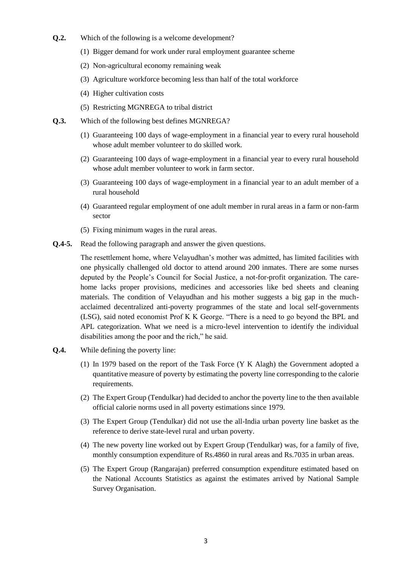- **Q.2.** Which of the following is a welcome development?
	- (1) Bigger demand for work under rural employment guarantee scheme
	- (2) Non-agricultural economy remaining weak
	- (3) Agriculture workforce becoming less than half of the total workforce
	- (4) Higher cultivation costs
	- (5) Restricting MGNREGA to tribal district
- **Q.3.** Which of the following best defines MGNREGA?
	- (1) Guaranteeing 100 days of wage-employment in a financial year to every rural household whose adult member volunteer to do skilled work.
	- (2) Guaranteeing 100 days of wage-employment in a financial year to every rural household whose adult member volunteer to work in farm sector.
	- (3) Guaranteeing 100 days of wage-employment in a financial year to an adult member of a rural household
	- (4) Guaranteed regular employment of one adult member in rural areas in a farm or non-farm sector
	- (5) Fixing minimum wages in the rural areas.
- **Q.4-5.** Read the following paragraph and answer the given questions.

The resettlement home, where Velayudhan's mother was admitted, has limited facilities with one physically challenged old doctor to attend around 200 inmates. There are some nurses deputed by the People's Council for Social Justice, a not-for-profit organization. The carehome lacks proper provisions, medicines and accessories like bed sheets and cleaning materials. The condition of Velayudhan and his mother suggests a big gap in the muchacclaimed decentralized anti-poverty programmes of the state and local self-governments (LSG), said noted economist Prof K K George. "There is a need to go beyond the BPL and APL categorization. What we need is a micro-level intervention to identify the individual disabilities among the poor and the rich," he said.

- **Q.4.** While defining the poverty line:
	- (1) In 1979 based on the report of the Task Force (Y K Alagh) the Government adopted a quantitative measure of poverty by estimating the poverty line corresponding to the calorie requirements.
	- (2) The Expert Group (Tendulkar) had decided to anchor the poverty line to the then available official calorie norms used in all poverty estimations since 1979.
	- (3) The Expert Group (Tendulkar) did not use the all-India urban poverty line basket as the reference to derive state-level rural and urban poverty.
	- (4) The new poverty line worked out by Expert Group (Tendulkar) was, for a family of five, monthly consumption expenditure of Rs.4860 in rural areas and Rs.7035 in urban areas.
	- (5) The Expert Group (Rangarajan) preferred consumption expenditure estimated based on the National Accounts Statistics as against the estimates arrived by National Sample Survey Organisation.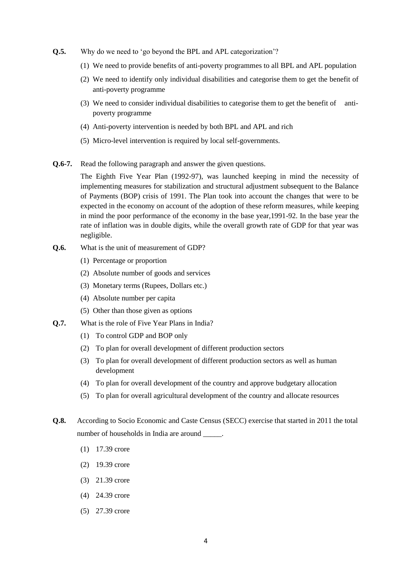- **Q.5.** Why do we need to 'go beyond the BPL and APL categorization'?
	- (1) We need to provide benefits of anti-poverty programmes to all BPL and APL population
	- (2) We need to identify only individual disabilities and categorise them to get the benefit of anti-poverty programme
	- (3) We need to consider individual disabilities to categorise them to get the benefit of antipoverty programme
	- (4) Anti-poverty intervention is needed by both BPL and APL and rich
	- (5) Micro-level intervention is required by local self-governments.
- **Q.6-7.** Read the following paragraph and answer the given questions.

The Eighth Five Year Plan (1992-97), was launched keeping in mind the necessity of implementing measures for stabilization and structural adjustment subsequent to the Balance of Payments (BOP) crisis of 1991. The Plan took into account the changes that were to be expected in the economy on account of the adoption of these reform measures, while keeping in mind the poor performance of the economy in the base year,1991-92. In the base year the rate of inflation was in double digits, while the overall growth rate of GDP for that year was negligible.

- **Q.6.** What is the unit of measurement of GDP?
	- (1) Percentage or proportion
	- (2) Absolute number of goods and services
	- (3) Monetary terms (Rupees, Dollars etc.)
	- (4) Absolute number per capita
	- (5) Other than those given as options
- **Q.7.** What is the role of Five Year Plans in India?
	- (1) To control GDP and BOP only
	- (2) To plan for overall development of different production sectors
	- (3) To plan for overall development of different production sectors as well as human development
	- (4) To plan for overall development of the country and approve budgetary allocation
	- (5) To plan for overall agricultural development of the country and allocate resources
- **Q.8.** According to Socio Economic and Caste Census (SECC) exercise that started in 2011 the total number of households in India are around  $\qquad \qquad$ .
	- (1) 17.39 crore
	- (2) 19.39 crore
	- (3) 21.39 crore
	- (4) 24.39 crore
	- (5) 27.39 crore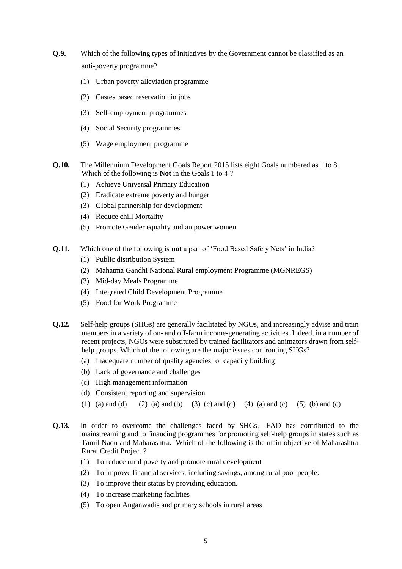- **Q.9.** Which of the following types of initiatives by the Government cannot be classified as an anti-poverty programme?
	- (1) Urban poverty alleviation programme
	- (2) Castes based reservation in jobs
	- (3) Self-employment programmes
	- (4) Social Security programmes
	- (5) Wage employment programme
- **Q.10.** The Millennium Development Goals Report 2015 lists eight Goals numbered as 1 to 8. Which of the following is **Not** in the Goals 1 to 4 ?
	- (1) Achieve Universal Primary Education
	- (2) Eradicate extreme poverty and hunger
	- (3) Global partnership for development
	- (4) Reduce chill Mortality
	- (5) Promote Gender equality and an power women
- **Q.11.** Which one of the following is **not** a part of 'Food Based Safety Nets' in India?
	- (1) Public distribution System
	- (2) Mahatma Gandhi National Rural employment Programme (MGNREGS)
	- (3) Mid-day Meals Programme
	- (4) Integrated Child Development Programme
	- (5) Food for Work Programme
- **Q.12.** Self-help groups (SHGs) are generally facilitated by NGOs, and increasingly advise and train members in a variety of on- and off-farm income-generating activities. Indeed, in a number of recent projects, NGOs were substituted by trained facilitators and animators drawn from selfhelp groups. Which of the following are the major issues confronting SHGs?
	- (a) Inadequate number of quality agencies for capacity building
	- (b) Lack of governance and challenges
	- (c) High management information
	- (d) Consistent reporting and supervision
	- (1) (a) and (d) (2) (a) and (b) (3) (c) and (d) (4) (a) and (c) (5) (b) and (c)
- **Q.13.** In order to overcome the challenges faced by SHGs, IFAD has contributed to the mainstreaming and to financing programmes for promoting self-help groups in states such as Tamil Nadu and Maharashtra. Which of the following is the main objective of Maharashtra Rural Credit Project ?
	- (1) To reduce rural poverty and promote rural development
	- (2) To improve financial services, including savings, among rural poor people.
	- (3) To improve their status by providing education.
	- (4) To increase marketing facilities
	- (5) To open Anganwadis and primary schools in rural areas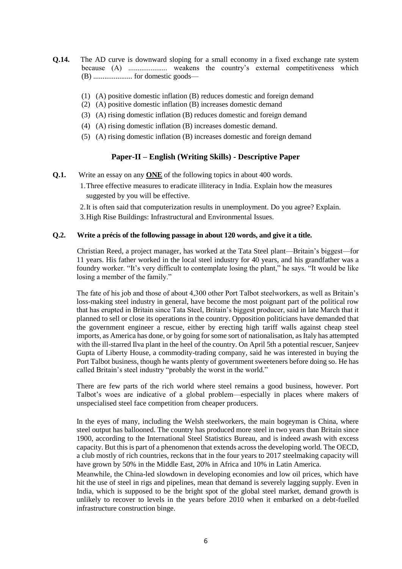- **Q.14.** The AD curve is downward sloping for a small economy in a fixed exchange rate system because (A) ..................... weakens the country's external competitiveness which (B) ..................... for domestic goods—
	- (1) (A) positive domestic inflation (B) reduces domestic and foreign demand
	- (2) (A) positive domestic inflation (B) increases domestic demand
	- (3) (A) rising domestic inflation (B) reduces domestic and foreign demand
	- (4) (A) rising domestic inflation (B) increases domestic demand.
	- (5) (A) rising domestic inflation (B) increases domestic and foreign demand

## **Paper-II – English (Writing Skills) - Descriptive Paper**

- **Q.1.** Write an essay on any **ONE** of the following topics in about 400 words.
	- 1.Three effective measures to eradicate illiteracy in India. Explain how the measures suggested by you will be effective.

2.It is often said that computerization results in unemployment. Do you agree? Explain. 3.High Rise Buildings: Infrastructural and Environmental Issues.

#### **Q.2. Write a précis of the following passage in about 120 words, and give it a title.**

Christian Reed, a project manager, has worked at the Tata Steel plant—Britain's biggest—for 11 years. His father worked in the local steel industry for 40 years, and his grandfather was a foundry worker. "It's very difficult to contemplate losing the plant," he says. "It would be like losing a member of the family."

The fate of his job and those of about 4,300 other Port Talbot steelworkers, as well as Britain's loss-making steel industry in general, have become the most poignant part of the political row that has erupted in Britain since Tata Steel, Britain's biggest producer, said in late March that it planned to sell or close its operations in the country. Opposition politicians have demanded that the government engineer a rescue, either by erecting high tariff walls against cheap steel imports, as America has done, or by going for some sort of nationalisation, as Italy has attempted with the ill-starred Ilva plant in the heel of the country. On April 5th a potential rescuer, Sanjeev Gupta of Liberty House, a commodity-trading company, said he was interested in buying the Port Talbot business, though he wants plenty of government sweeteners before doing so. He has called Britain's steel industry "probably the worst in the world."

There are few parts of the rich world where steel remains a good business, however. Port Talbot's woes are indicative of a global problem—especially in places where makers of unspecialised steel face competition from cheaper producers.

In the eyes of many, including the Welsh steelworkers, the main bogeyman is China, where steel output has ballooned. The country has produced more steel in two years than Britain since 1900, according to the International Steel Statistics Bureau, and is indeed awash with excess capacity. But this is part of a phenomenon that extends across the developing world. The OECD, a club mostly of rich countries, reckons that in the four years to 2017 steelmaking capacity will have grown by 50% in the Middle East, 20% in Africa and 10% in Latin America.

Meanwhile, the China-led slowdown in developing economies and low oil prices, which have hit the use of steel in rigs and pipelines, mean that demand is severely lagging supply. Even in India, which is supposed to be the bright spot of the global steel market, demand growth is unlikely to recover to levels in the years before 2010 when it embarked on a debt-fuelled infrastructure construction binge.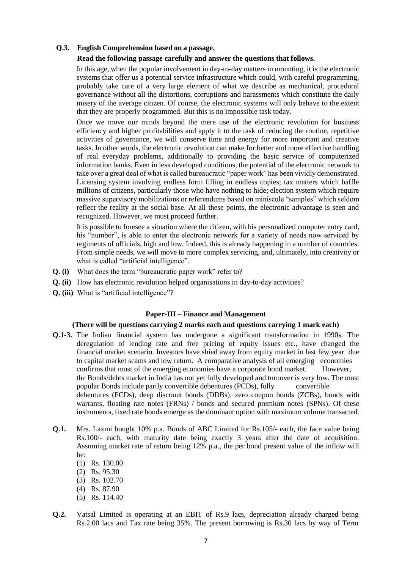### **Q.3. English Comprehension based on a passage.**

### **Read the following passage carefully and answer the questions that follows.**

In this age, when the popular involvement in day-to-day matters in mounting, it is the electronic systems that offer us a potential service infrastructure which could, with careful programming, probably take care of a very large element of what we describe as mechanical, procedural governance without all the distortions, corruptions and harassments which constitute the daily misery of the average citizen. Of course, the electronic systems will only behave to the extent that they are properly programmed. But this is no impossible task today.

Once we move our minds beyond the mere use of the electronic revolution for business efficiency and higher profitabilities and apply it to the task of reducing the routine, repetitive activities of governance, we will conserve time and energy for more important and creative tasks. In other words, the electronic revolution can make for better and more effective handling of real everyday problems, additionally to providing the basic service of computerized information banks. Even in less developed conditions, the potential of the electronic network to take over a great deal of what is called bureaucratic "paper work" has been vividly demonstrated. Licensing system involving endless form filling in endless copies; tax matters which baffle millions of citizens, particularly those who have nothing to hide; election system which require massive supervisory mobilizations or referendums based on miniscule "samples" which seldom reflect the reality at the social base. At all these points, the electronic advantage is seen and recognized. However, we must proceed further.

It is possible to foresee a situation where the citizen, with his personalized computer entry card, his "number", is able to enter the electronic network for a variety of needs now serviced by regiments of officials, high and low. Indeed, this is already happening in a number of countries. From simple needs, we will move to more complex servicing, and, ultimately, into creativity or what is called "artificial intelligence".

- **Q. (i)** What does the term "bureaucratic paper work" refer to?
- **Q. (ii)** How has electronic revolution helped organisations in day-to-day activities?
- **Q. (iii)** What is "artificial intelligence"?

### **Paper-III – Finance and Management**

### **(There will be questions carrying 2 marks each and questions carrying 1 mark each)**

- **Q.1-3.** The Indian financial system has undergone a significant transformation in 1990s. The deregulation of lending rate and free pricing of equity issues etc., have changed the financial market scenario. Investors have shied away from equity market in last few year due to capital market scams and low return. A comparative analysis of all emerging economies confirms that most of the emerging economies have a corporate bond market. However, the Bonds/debts market in India has not yet fully developed and turnover is very low. The most popular Bonds include partly convertible debentures (PCDs), fully convertible debentures (FCDs), deep discount bonds (DDBs), zero coupon bonds (ZCBs), bonds with warrants, floating rate notes (FRNs) / bonds and secured premium notes (SPNs). Of these instruments, fixed rate bonds emerge as the dominant option with maximum volume transacted.
- **Q.1.** Mrs. Laxmi bought 10% p.a. Bonds of ABC Limited for Rs.105/- each, the face value being Rs.100/- each, with maturity date being exactly 3 years after the date of acquisition. Assuming market rate of return being 12% p.a., the per bond present value of the inflow will be:
	- (1) Rs. 130.00
	- (2) Rs. 95.30
	- (3) Rs. 102.70
	- (4) Rs. 87.90
	- (5) Rs. 114.40
- **Q.2.** Vatsal Limited is operating at an EBIT of Rs.9 lacs, depreciation already charged being Rs.2.00 lacs and Tax rate being 35%. The present borrowing is Rs.30 lacs by way of Term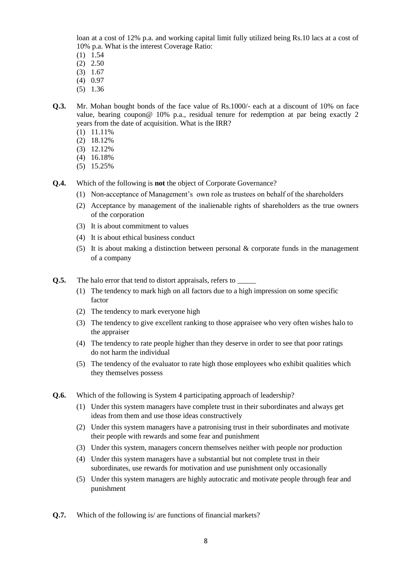loan at a cost of 12% p.a. and working capital limit fully utilized being Rs.10 lacs at a cost of 10% p.a. What is the interest Coverage Ratio:

- (1) 1.54
- (2) 2.50
- (3) 1.67
- (4) 0.97
- (5) 1.36
- **Q.3.** Mr. Mohan bought bonds of the face value of Rs.1000/- each at a discount of 10% on face value, bearing coupon@ 10% p.a., residual tenure for redemption at par being exactly 2 years from the date of acquisition. What is the IRR?
	- (1) 11.11%
	- (2) 18.12%
	- (3) 12.12%
	- (4) 16.18%
	- (5) 15.25%
- **Q.4.** Which of the following is **not** the object of Corporate Governance?
	- (1) Non-acceptance of Management's own role as trustees on behalf of the shareholders
	- (2) Acceptance by management of the inalienable rights of shareholders as the true owners of the corporation
	- (3) It is about commitment to values
	- (4) It is about ethical business conduct
	- (5) It is about making a distinction between personal & corporate funds in the management of a company
- **Q.5.** The halo error that tend to distort appraisals, refers to
	- (1) The tendency to mark high on all factors due to a high impression on some specific factor
	- (2) The tendency to mark everyone high
	- (3) The tendency to give excellent ranking to those appraisee who very often wishes halo to the appraiser
	- (4) The tendency to rate people higher than they deserve in order to see that poor ratings do not harm the individual
	- (5) The tendency of the evaluator to rate high those employees who exhibit qualities which they themselves possess
- **Q.6.** Which of the following is System 4 participating approach of leadership?
	- (1) Under this system managers have complete trust in their subordinates and always get ideas from them and use those ideas constructively
	- (2) Under this system managers have a patronising trust in their subordinates and motivate their people with rewards and some fear and punishment
	- (3) Under this system, managers concern themselves neither with people nor production
	- (4) Under this system managers have a substantial but not complete trust in their subordinates, use rewards for motivation and use punishment only occasionally
	- (5) Under this system managers are highly autocratic and motivate people through fear and punishment
- **Q.7.** Which of the following is/ are functions of financial markets?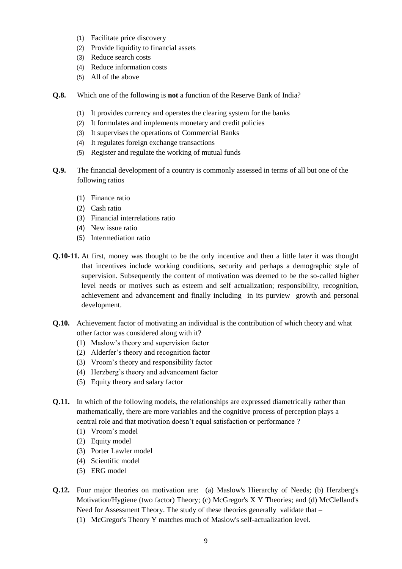- (1) Facilitate price discovery
- (2) Provide liquidity to financial assets
- (3) Reduce search costs
- (4) Reduce information costs
- (5) All of the above
- **Q.8.** Which one of the following is **not** a function of the Reserve Bank of India?
	- (1) It provides currency and operates the clearing system for the banks
	- (2) It formulates and implements monetary and credit policies
	- (3) It supervises the operations of Commercial Banks
	- (4) It regulates foreign exchange transactions
	- (5) Register and regulate the working of mutual funds
- **Q.9.** The financial development of a country is commonly assessed in terms of all but one of the following ratios
	- (1) Finance ratio
	- (2) Cash ratio
	- (3) Financial interrelations ratio
	- (4) New issue ratio
	- (5) Intermediation ratio
- **Q.10-11.** At first, money was thought to be the only incentive and then a little later it was thought that incentives include working conditions, security and perhaps a demographic style of supervision. Subsequently the content of motivation was deemed to be the so-called higher level needs or motives such as esteem and self actualization; responsibility, recognition, achievement and advancement and finally including in its purview growth and personal development.
- **Q.10.** Achievement factor of motivating an individual is the contribution of which theory and what other factor was considered along with it?
	- (1) Maslow's theory and supervision factor
	- (2) Alderfer's theory and recognition factor
	- (3) Vroom's theory and responsibility factor
	- (4) Herzberg's theory and advancement factor
	- (5) Equity theory and salary factor
- **Q.11.** In which of the following models, the relationships are expressed diametrically rather than mathematically, there are more variables and the cognitive process of perception plays a central role and that motivation doesn't equal satisfaction or performance ?
	- (1) Vroom's model
	- (2) Equity model
	- (3) Porter Lawler model
	- (4) Scientific model
	- (5) ERG model
- **Q.12.** Four major theories on motivation are: (a) Maslow's Hierarchy of Needs; (b) Herzberg's Motivation/Hygiene (two factor) Theory; (c) McGregor's X Y Theories; and (d) McClelland's Need for Assessment Theory. The study of these theories generally validate that –
	- (1) McGregor's Theory Y matches much of Maslow's self-actualization level.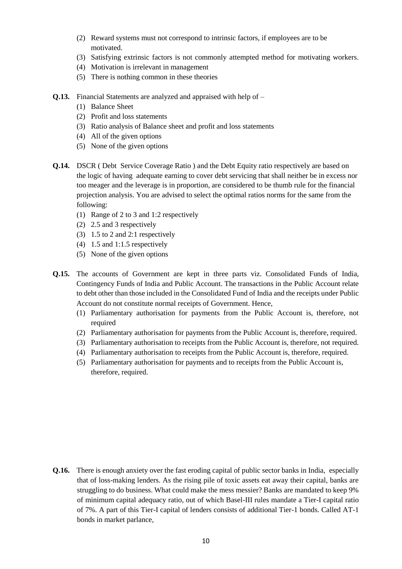- (2) Reward systems must not correspond to intrinsic factors, if employees are to be motivated.
- (3) Satisfying extrinsic factors is not commonly attempted method for motivating workers.
- (4) Motivation is irrelevant in management
- (5) There is nothing common in these theories
- **Q.13.** Financial Statements are analyzed and appraised with help of
	- (1) Balance Sheet
	- (2) Profit and loss statements
	- (3) Ratio analysis of Balance sheet and profit and loss statements
	- (4) All of the given options
	- (5) None of the given options
- **Q.14.** DSCR ( Debt Service Coverage Ratio ) and the Debt Equity ratio respectively are based on the logic of having adequate earning to cover debt servicing that shall neither be in excess nor too meager and the leverage is in proportion, are considered to be thumb rule for the financial projection analysis. You are advised to select the optimal ratios norms for the same from the following:
	- (1) Range of 2 to 3 and 1:2 respectively
	- (2) 2.5 and 3 respectively
	- (3) 1.5 to 2 and 2:1 respectively
	- (4) 1.5 and 1:1.5 respectively
	- (5) None of the given options
- **Q.15.** The accounts of Government are kept in three parts viz. Consolidated Funds of India, Contingency Funds of India and Public Account. The transactions in the Public Account relate to debt other than those included in the Consolidated Fund of India and the receipts under Public Account do not constitute normal receipts of Government. Hence,
	- (1) Parliamentary authorisation for payments from the Public Account is, therefore, not required
	- (2) Parliamentary authorisation for payments from the Public Account is, therefore, required.
	- (3) Parliamentary authorisation to receipts from the Public Account is, therefore, not required.
	- (4) Parliamentary authorisation to receipts from the Public Account is, therefore, required.
	- (5) Parliamentary authorisation for payments and to receipts from the Public Account is, therefore, required.

**Q.16.** There is enough anxiety over the fast eroding capital of public sector banks in India, especially that of loss-making lenders. As the rising pile of toxic assets eat away their capital, banks are struggling to do business. What could make the mess messier? Banks are mandated to keep 9% of minimum capital adequacy ratio, out of which Basel-III rules mandate a Tier-I capital ratio of 7%. A part of this Tier-I capital of lenders consists of additional Tier-1 bonds. Called AT-1 bonds in market parlance,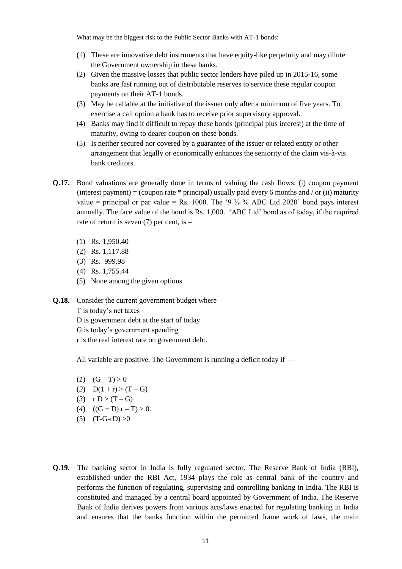What may be the biggest risk to the Public Sector Banks with AT-1 bonds:

- (1) These are innovative debt instruments that have equity-like perpetuity and may dilute the Government ownership in these banks.
- (2) Given the massive losses that public sector lenders have piled up in 2015-16, some banks are fast running out of distributable reserves to service these regular coupon payments on their AT-1 bonds.
- (3) May be callable at the initiative of the issuer only after a minimum of five years. To exercise a call option a bank has to receive prior supervisory approval.
- (4) Banks may find it difficult to repay these bonds (principal plus interest) at the time of maturity, owing to dearer coupon on these bonds.
- (5) Is neither secured nor covered by a guarantee of the issuer or related entity or other arrangement that legally or economically enhances the seniority of the claim vis-à-vis bank creditors.
- **Q.17.** Bond valuations are generally done in terms of valuing the cash flows: (i) coupon payment (interest payment) = (coupon rate  $*$  principal) usually paid every 6 months and / or (ii) maturity value = principal or par value = Rs. 1000. The '9  $\frac{7}{8}$  % ABC Ltd 2020' bond pays interest annually. The face value of the bond is Rs. 1,000. 'ABC Ltd' bond as of today, if the required rate of return is seven (7) per cent, is –
	- (1) Rs. 1,950.40
	- (2) Rs. 1,117.88
	- (3) Rs. 999.98
	- (4) Rs. 1,755.44
	- (5) None among the given options
- **Q.18.** Consider the current government budget where —

T is today's net taxes D is government debt at the start of today G is today's government spending r is the real interest rate on govenment debt.

All variable are positive. The Government is running a deficit today if —

- $(I)$   $(G-T) > 0$
- (2)  $D(1 + r) > (T G)$
- (3)  $r D > (T G)$
- (4)  $((G + D) r T) > 0.$
- $(T-G-rD) > 0$
- **Q.19.** The banking sector in India is fully regulated sector. The Reserve Bank of India (RBI), established under the RBI Act, 1934 plays the role as central bank of the country and performs the function of regulating, supervising and controlling banking in India. The RBI is constituted and managed by a central board appointed by Government of India. The Reserve Bank of India derives powers from various acts/laws enacted for regulating banking in India and ensures that the banks function within the permitted frame work of laws, the main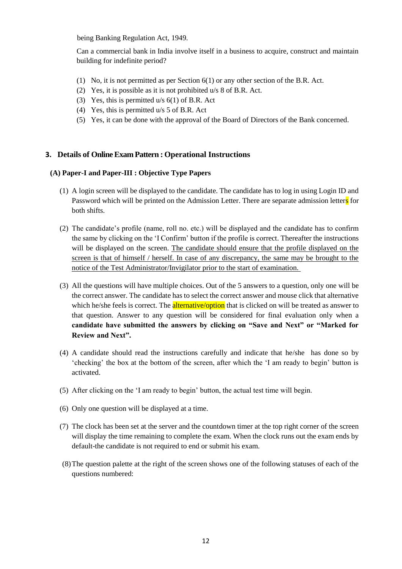being Banking Regulation Act, 1949.

Can a commercial bank in India involve itself in a business to acquire, construct and maintain building for indefinite period?

- (1) No, it is not permitted as per Section 6(1) or any other section of the B.R. Act.
- (2) Yes, it is possible as it is not prohibited u/s 8 of B.R. Act.
- (3) Yes, this is permitted u/s 6(1) of B.R. Act
- (4) Yes, this is permitted u/s 5 of B.R. Act
- (5) Yes, it can be done with the approval of the Board of Directors of the Bank concerned.

## **3. Details of Online Exam Pattern : Operational Instructions**

## **(A) Paper-I and Paper-III : Objective Type Papers**

- (1) A login screen will be displayed to the candidate. The candidate has to log in using Login ID and Password which will be printed on the Admission Letter. There are separate admission letters for both shifts.
- (2) The candidate's profile (name, roll no. etc.) will be displayed and the candidate has to confirm the same by clicking on the 'I Confirm' button if the profile is correct. Thereafter the instructions will be displayed on the screen. The candidate should ensure that the profile displayed on the screen is that of himself / herself. In case of any discrepancy, the same may be brought to the notice of the Test Administrator/Invigilator prior to the start of examination.
- (3) All the questions will have multiple choices. Out of the 5 answers to a question, only one will be the correct answer. The candidate has to select the correct answer and mouse click that alternative which he/she feels is correct. The **alternative/option** that is clicked on will be treated as answer to that question. Answer to any question will be considered for final evaluation only when a **candidate have submitted the answers by clicking on "Save and Next" or "Marked for Review and Next".**
- (4) A candidate should read the instructions carefully and indicate that he/she has done so by 'checking' the box at the bottom of the screen, after which the 'I am ready to begin' button is activated.
- (5) After clicking on the 'I am ready to begin' button, the actual test time will begin.
- (6) Only one question will be displayed at a time.
- (7) The clock has been set at the server and the countdown timer at the top right corner of the screen will display the time remaining to complete the exam. When the clock runs out the exam ends by default-the candidate is not required to end or submit his exam.
- (8)The question palette at the right of the screen shows one of the following statuses of each of the questions numbered: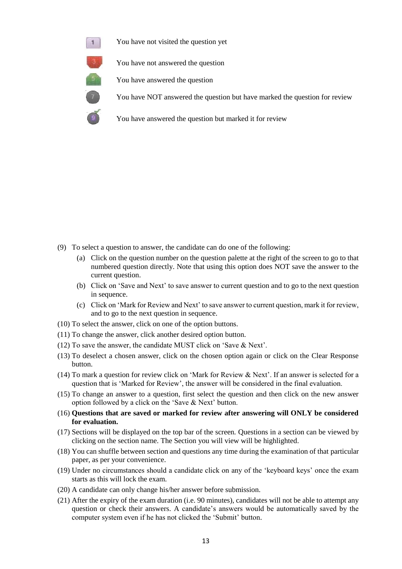- You have not visited the question yet
- You have not answered the question
- You have answered the question

 $1$ 

35

 $\bigcap$ 

You have NOT answered the question but have marked the question for review

You have answered the question but marked it for review

- (9) To select a question to answer, the candidate can do one of the following:
	- (a) Click on the question number on the question palette at the right of the screen to go to that numbered question directly. Note that using this option does NOT save the answer to the current question.
	- (b) Click on 'Save and Next' to save answer to current question and to go to the next question in sequence.
	- (c) Click on 'Mark for Review and Next' to save answer to current question, mark it for review, and to go to the next question in sequence.
- (10) To select the answer, click on one of the option buttons.
- (11) To change the answer, click another desired option button.
- (12) To save the answer, the candidate MUST click on 'Save & Next'.
- (13) To deselect a chosen answer, click on the chosen option again or click on the Clear Response button.
- (14) To mark a question for review click on 'Mark for Review & Next'. If an answer is selected for a question that is 'Marked for Review', the answer will be considered in the final evaluation.
- (15) To change an answer to a question, first select the question and then click on the new answer option followed by a click on the 'Save & Next' button.
- (16) **Questions that are saved or marked for review after answering will ONLY be considered for evaluation.**
- (17) Sections will be displayed on the top bar of the screen. Questions in a section can be viewed by clicking on the section name. The Section you will view will be highlighted.
- (18) You can shuffle between section and questions any time during the examination of that particular paper, as per your convenience.
- (19) Under no circumstances should a candidate click on any of the 'keyboard keys' once the exam starts as this will lock the exam.
- (20) A candidate can only change his/her answer before submission.
- (21) After the expiry of the exam duration (i.e. 90 minutes), candidates will not be able to attempt any question or check their answers. A candidate's answers would be automatically saved by the computer system even if he has not clicked the 'Submit' button.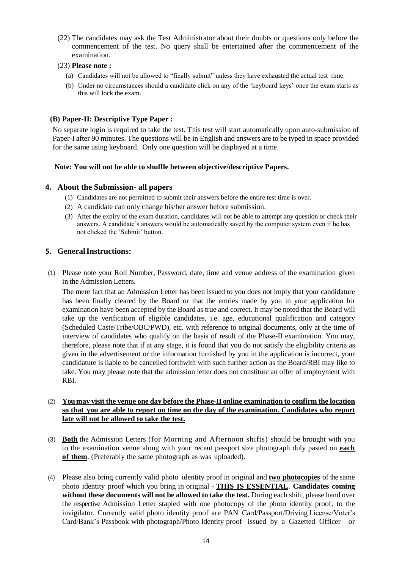(22) The candidates may ask the Test Administrator about their doubts or questions only before the commencement of the test. No query shall be entertained after the commencement of the examination.

### (23) **Please note :**

- (a) Candidates will not be allowed to "finally submit" unless they have exhausted the actual test time.
- (b) Under no circumstances should a candidate click on any of the 'keyboard keys' once the exam starts as this will lock the exam.

### **(B) Paper-II: Descriptive Type Paper :**

No separate login is required to take the test. This test will start automatically upon auto-submission of Paper-I after 90 minutes. The questions will be in English and answers are to be typed in space provided for the same using keyboard. Only one question will be displayed at a time.

### **Note: You will not be able to shuffle between objective/descriptive Papers.**

### **4. About the Submission- all papers**

- (1) Candidates are not permitted to submit their answers before the entire test time is over.
- (2) A candidate can only change his/her answer before submission.
- (3) After the expiry of the exam duration, candidates will not be able to attempt any question or check their answers. A candidate's answers would be automatically saved by the computer system even if he has not clicked the 'Submit' button.

## **5. GeneralInstructions:**

(1) Please note your Roll Number, Password, date, time and venue address of the examination given in the Admission Letters.

The mere fact that an Admission Letter has been issued to you does not imply that your candidature has been finally cleared by the Board or that the entries made by you in your application for examination have been accepted by the Board as true and correct. It may be noted that the Board will take up the verification of eligible candidates, i.e. age, educational qualification and category (Scheduled Caste/Tribe/OBC/PWD), etc. with reference to original documents, only at the time of interview of candidates who qualify on the basis of result of the Phase-II examination. You may, therefore, please note that if at any stage, it is found that you do not satisfy the eligibility criteria as given in the advertisement or the information furnished by you in the application is incorrect, your candidature is liable to be cancelled forthwith with such further action as the Board/RBI may like to take. You may please note that the admission letter does not constitute an offer of employment with RBI.

## (2) **You may visit the venue one day before the Phase-II online examination to confirm the location so that you are able to report on time on the day of the examination. Candidates who report late will not be allowed to take the test.**

- (3) **Both** the Admission Letters (for Morning and Afternoon shifts) should be brought with you to the examination venue along with your recent passport size photograph duly pasted on **each of them**. (Preferably the same photograph as was uploaded).
- (4) Please also bring currently valid photo identity proof in original and **two photocopies** of the same photo identity proof which you bring in original - **THIS IS ESSENTIAL**. **Candidates coming without these documents will not be allowed to take the test.** During each shift, please hand over the respective Admission Letter stapled with one photocopy of the photo identity proof, to the invigilator. Currently valid photo identity proof are PAN Card/Passport/Driving License/Voter's Card/Bank's Passbook with photograph/Photo Identity proof issued by a Gazetted Officer or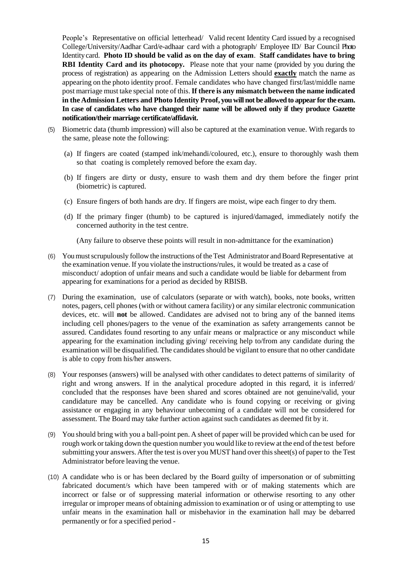People's Representative on official letterhead/ Valid recent Identity Card issued by a recognised College/University/Aadhar Card/e-adhaar card with a photograph/ Employee ID/ Bar Council Photo Identity card. **Photo ID should be valid as on the day of exam**. **Staff candidates have to bring RBI Identity Card and its photocopy.** Please note that your name (provided by you during the process of registration) as appearing on the Admission Letters should **exactly** match the name as appearing on the photo identity proof. Female candidates who have changed first/last/middle name post marriage must take special note of this.**If there is any mismatch between the name indicated in the Admission Letters and Photo Identity Proof, you will not be allowed to appear for the exam. In case of candidates who have changed their name will be allowed only if they produce Gazette notification/their marriage certificate/affidavit.**

- (5) Biometric data (thumb impression) will also be captured at the examination venue. With regards to the same, please note the following:
	- (a) If fingers are coated (stamped ink/mehandi/coloured, etc.), ensure to thoroughly wash them so that coating is completely removed before the exam day.
	- (b) If fingers are dirty or dusty, ensure to wash them and dry them before the finger print (biometric) is captured.
	- (c) Ensure fingers of both hands are dry. If fingers are moist, wipe each finger to dry them.
	- (d) If the primary finger (thumb) to be captured is injured/damaged, immediately notify the concerned authority in the test centre.

(Any failure to observe these points will result in non-admittance for the examination)

- (6) Youmustscrupulously follow the instructions oftheTest Administrator andBoardRepresentative at the examination venue.If you violate the instructions/rules, it would be treated as a case of misconduct/ adoption of unfair means and such a candidate would be liable for debarment from appearing for examinations for a period as decided by RBISB.
- (7) During the examination, use of calculators (separate or with watch), books, note books, written notes, pagers, cell phones (with or without camera facility) or any similar electronic communication devices, etc. will **not** be allowed. Candidates are advised not to bring any of the banned items including cell phones/pagers to the venue of the examination as safety arrangements cannot be assured. Candidates found resorting to any unfair means or malpractice or any misconduct while appearing for the examination including giving/ receiving help to/from any candidate during the examination will be disqualified. The candidates should be vigilant to ensure that no other candidate is able to copy from his/her answers.
- (8) Your responses (answers) will be analysed with other candidates to detect patterns of similarity of right and wrong answers. If in the analytical procedure adopted in this regard, it is inferred/ concluded that the responses have been shared and scores obtained are not genuine/valid, your candidature may be cancelled. Any candidate who is found copying or receiving or giving assistance or engaging in any behaviour unbecoming of a candidate will not be considered for assessment. The Board may take further action against such candidates as deemed fit by it.
- (9) You should bring with you a ball-point pen. A sheet of paper will be provided which can be used for rough work or taking down the question number you would like to review at the end of the test before submitting your answers. After the test is over you MUST hand over this sheet(s) of paper to the Test Administrator before leaving the venue.
- (10) A candidate who is or has been declared by the Board guilty of impersonation or of submitting fabricated document/s which have been tampered with or of making statements which are incorrect or false or of suppressing material information or otherwise resorting to any other irregular or improper means of obtaining admission to examination or of using or attempting to use unfair means in the examination hall or misbehavior in the examination hall may be debarred permanently or for a specified period -